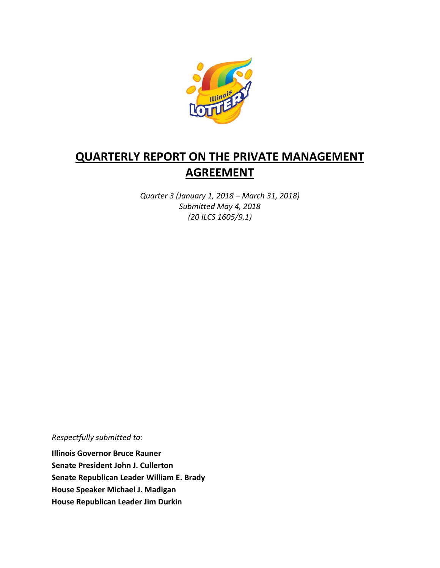

# **QUARTERLY REPORT ON THE PRIVATE MANAGEMENT AGREEMENT**

*Quarter 3 (January 1, 2018 – March 31, 2018) Submitted May 4, 2018 (20 ILCS 1605/9.1)*

*Respectfully submitted to:* 

**Illinois Governor Bruce Rauner Senate President John J. Cullerton Senate Republican Leader William E. Brady House Speaker Michael J. Madigan House Republican Leader Jim Durkin**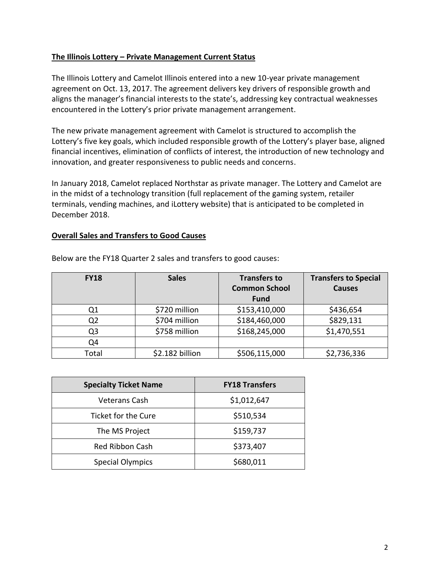#### **The Illinois Lottery – Private Management Current Status**

The Illinois Lottery and Camelot Illinois entered into a new 10-year private management agreement on Oct. 13, 2017. The agreement delivers key drivers of responsible growth and aligns the manager's financial interests to the state's, addressing key contractual weaknesses encountered in the Lottery's prior private management arrangement.

The new private management agreement with Camelot is structured to accomplish the Lottery's five key goals, which included responsible growth of the Lottery's player base, aligned financial incentives, elimination of conflicts of interest, the introduction of new technology and innovation, and greater responsiveness to public needs and concerns.

In January 2018, Camelot replaced Northstar as private manager. The Lottery and Camelot are in the midst of a technology transition (full replacement of the gaming system, retailer terminals, vending machines, and iLottery website) that is anticipated to be completed in December 2018.

#### **Overall Sales and Transfers to Good Causes**

| <b>FY18</b> | <b>Sales</b>    | <b>Transfers to</b><br><b>Common School</b><br><b>Fund</b> | <b>Transfers to Special</b><br><b>Causes</b> |
|-------------|-----------------|------------------------------------------------------------|----------------------------------------------|
| Q1          | \$720 million   | \$153,410,000                                              | \$436,654                                    |
| Q2          | \$704 million   | \$184,460,000                                              | \$829,131                                    |
| Q3          | \$758 million   | \$168,245,000                                              | \$1,470,551                                  |
| Q4          |                 |                                                            |                                              |
| Total       | \$2.182 billion | \$506,115,000                                              | \$2,736,336                                  |

Below are the FY18 Quarter 2 sales and transfers to good causes:

| <b>Specialty Ticket Name</b> | <b>FY18 Transfers</b> |
|------------------------------|-----------------------|
| <b>Veterans Cash</b>         | \$1,012,647           |
| Ticket for the Cure          | \$510,534             |
| The MS Project               | \$159,737             |
| Red Ribbon Cash              | \$373,407             |
| <b>Special Olympics</b>      | \$680,011             |